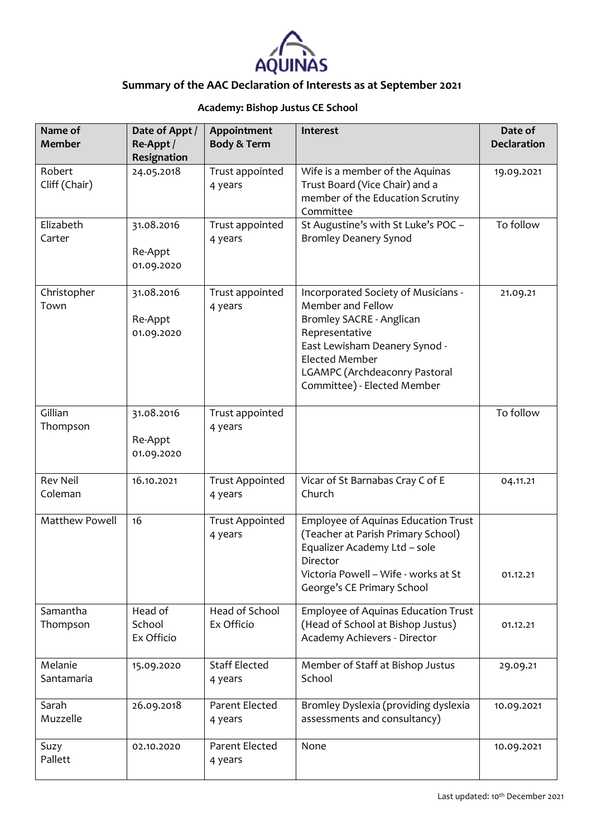

## **Academy: Bishop Justus CE School**

| Name of<br><b>Member</b>   | Date of Appt /<br>Re-Appt /<br>Resignation | Appointment<br>Body & Term        | Interest                                                                                                                                                                                                                         | Date of<br><b>Declaration</b> |
|----------------------------|--------------------------------------------|-----------------------------------|----------------------------------------------------------------------------------------------------------------------------------------------------------------------------------------------------------------------------------|-------------------------------|
| Robert<br>Cliff (Chair)    | 24.05.2018                                 | Trust appointed<br>4 years        | Wife is a member of the Aquinas<br>Trust Board (Vice Chair) and a<br>member of the Education Scrutiny<br>Committee                                                                                                               | 19.09.2021                    |
| Elizabeth<br>Carter        | 31.08.2016<br>Re-Appt<br>01.09.2020        | Trust appointed<br>4 years        | St Augustine's with St Luke's POC -<br><b>Bromley Deanery Synod</b>                                                                                                                                                              | To follow                     |
| Christopher<br>Town        | 31.08.2016<br>Re-Appt<br>01.09.2020        | Trust appointed<br>4 years        | Incorporated Society of Musicians -<br>Member and Fellow<br>Bromley SACRE - Anglican<br>Representative<br>East Lewisham Deanery Synod -<br><b>Elected Member</b><br>LGAMPC (Archdeaconry Pastoral<br>Committee) - Elected Member | 21.09.21                      |
| Gillian<br>Thompson        | 31.08.2016<br>Re-Appt<br>01.09.2020        | Trust appointed<br>4 years        |                                                                                                                                                                                                                                  | To follow                     |
| <b>Rev Neil</b><br>Coleman | 16.10.2021                                 | <b>Trust Appointed</b><br>4 years | Vicar of St Barnabas Cray C of E<br>Church                                                                                                                                                                                       | 04.11.21                      |
| <b>Matthew Powell</b>      | 16                                         | <b>Trust Appointed</b><br>4 years | Employee of Aquinas Education Trust<br>(Teacher at Parish Primary School)<br>Equalizer Academy Ltd - sole<br>Director<br>Victoria Powell - Wife - works at St<br>George's CE Primary School                                      | 01.12.21                      |
| Samantha<br>Thompson       | Head of<br>School<br>Ex Officio            | Head of School<br>Ex Officio      | Employee of Aquinas Education Trust<br>(Head of School at Bishop Justus)<br>Academy Achievers - Director                                                                                                                         | 01.12.21                      |
| Melanie<br>Santamaria      | 15.09.2020                                 | <b>Staff Elected</b><br>4 years   | Member of Staff at Bishop Justus<br>School                                                                                                                                                                                       | 29.09.21                      |
| Sarah<br>Muzzelle          | 26.09.2018                                 | Parent Elected<br>4 years         | Bromley Dyslexia (providing dyslexia<br>assessments and consultancy)                                                                                                                                                             | 10.09.2021                    |
| Suzy<br>Pallett            | 02.10.2020                                 | Parent Elected<br>4 years         | None                                                                                                                                                                                                                             | 10.09.2021                    |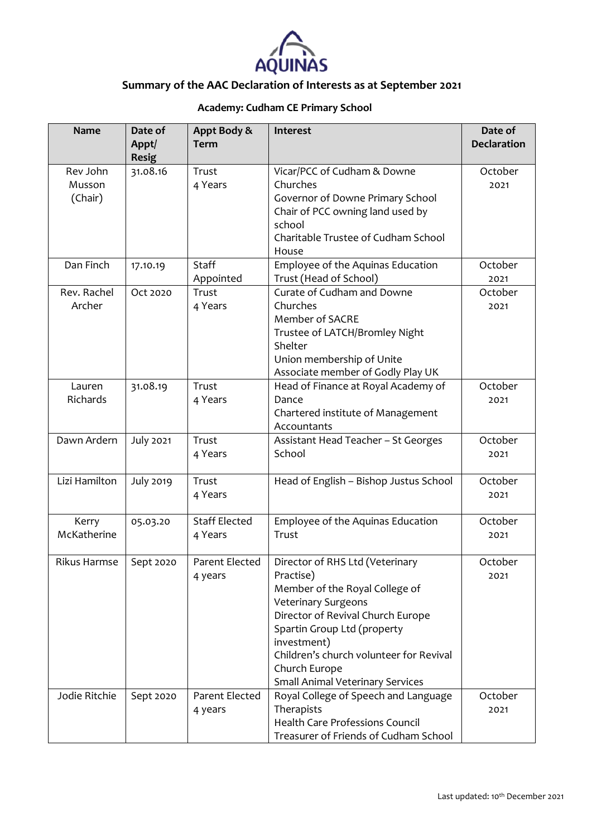

## **Academy: Cudham CE Primary School**

| <b>Name</b>         | Date of<br>Appt/<br><b>Resig</b> | Appt Body &<br><b>Term</b> | Interest                                | Date of<br><b>Declaration</b> |
|---------------------|----------------------------------|----------------------------|-----------------------------------------|-------------------------------|
| Rev John            | 31.08.16                         | Trust                      | Vicar/PCC of Cudham & Downe             | October                       |
| Musson              |                                  | 4 Years                    | Churches                                | 2021                          |
| (Chair)             |                                  |                            | Governor of Downe Primary School        |                               |
|                     |                                  |                            | Chair of PCC owning land used by        |                               |
|                     |                                  |                            | school                                  |                               |
|                     |                                  |                            | Charitable Trustee of Cudham School     |                               |
|                     |                                  |                            | House                                   |                               |
| Dan Finch           | 17.10.19                         | Staff                      | Employee of the Aquinas Education       | October                       |
|                     |                                  | Appointed                  | Trust (Head of School)                  | 2021                          |
| Rev. Rachel         | Oct 2020                         | Trust                      | Curate of Cudham and Downe              | October                       |
| Archer              |                                  | 4 Years                    | Churches                                | 2021                          |
|                     |                                  |                            | Member of SACRE                         |                               |
|                     |                                  |                            | Trustee of LATCH/Bromley Night          |                               |
|                     |                                  |                            | Shelter                                 |                               |
|                     |                                  |                            | Union membership of Unite               |                               |
|                     |                                  |                            | Associate member of Godly Play UK       |                               |
| Lauren              | 31.08.19                         | Trust                      | Head of Finance at Royal Academy of     | October                       |
| Richards            |                                  | 4 Years                    | Dance                                   | 2021                          |
|                     |                                  |                            | Chartered institute of Management       |                               |
|                     |                                  |                            | Accountants                             |                               |
| Dawn Ardern         | <b>July 2021</b>                 | Trust                      | Assistant Head Teacher - St Georges     | October                       |
|                     |                                  | 4 Years                    | School                                  | 2021                          |
| Lizi Hamilton       | <b>July 2019</b>                 | Trust                      | Head of English - Bishop Justus School  | October                       |
|                     |                                  | 4 Years                    |                                         | 2021                          |
|                     |                                  |                            |                                         |                               |
| Kerry               | 05.03.20                         | <b>Staff Elected</b>       | Employee of the Aquinas Education       | October                       |
| McKatherine         |                                  | 4 Years                    | Trust                                   | 2021                          |
|                     |                                  |                            |                                         |                               |
| <b>Rikus Harmse</b> | Sept 2020                        | Parent Elected             | Director of RHS Ltd (Veterinary         | October                       |
|                     |                                  | 4 years                    | Practise)                               | 2021                          |
|                     |                                  |                            | Member of the Royal College of          |                               |
|                     |                                  |                            | <b>Veterinary Surgeons</b>              |                               |
|                     |                                  |                            | Director of Revival Church Europe       |                               |
|                     |                                  |                            | Spartin Group Ltd (property             |                               |
|                     |                                  |                            | investment)                             |                               |
|                     |                                  |                            | Children's church volunteer for Revival |                               |
|                     |                                  |                            | Church Europe                           |                               |
|                     |                                  |                            | <b>Small Animal Veterinary Services</b> |                               |
| Jodie Ritchie       | Sept 2020                        | Parent Elected             | Royal College of Speech and Language    | October                       |
|                     |                                  | 4 years                    | Therapists                              | 2021                          |
|                     |                                  |                            | <b>Health Care Professions Council</b>  |                               |
|                     |                                  |                            | Treasurer of Friends of Cudham School   |                               |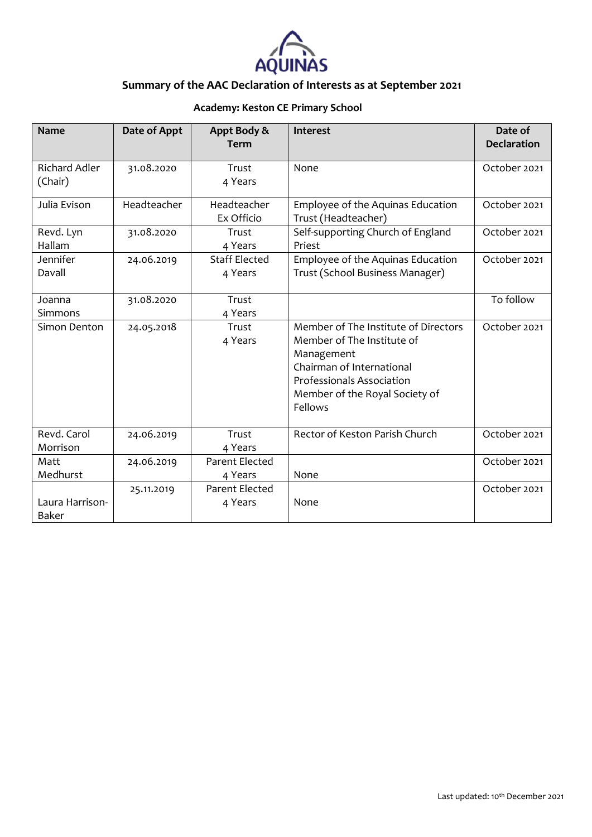

## **Academy: Keston CE Primary School**

| <b>Name</b>                     | Date of Appt | Appt Body &<br><b>Term</b>       | <b>Interest</b>                                                                                                                                                                         | Date of<br><b>Declaration</b> |
|---------------------------------|--------------|----------------------------------|-----------------------------------------------------------------------------------------------------------------------------------------------------------------------------------------|-------------------------------|
| <b>Richard Adler</b><br>(Chair) | 31.08.2020   | Trust<br>4 Years                 | None                                                                                                                                                                                    | October 2021                  |
| Julia Evison                    | Headteacher  | Headteacher<br>Ex Officio        | Employee of the Aquinas Education<br>Trust (Headteacher)                                                                                                                                | October 2021                  |
| Revd. Lyn<br>Hallam             | 31.08.2020   | Trust<br>4 Years                 | Self-supporting Church of England<br>Priest                                                                                                                                             | October 2021                  |
| Jennifer<br>Davall              | 24.06.2019   | <b>Staff Elected</b><br>4 Years  | Employee of the Aquinas Education<br>Trust (School Business Manager)                                                                                                                    | October 2021                  |
| Joanna<br>Simmons               | 31.08.2020   | Trust<br>4 Years                 |                                                                                                                                                                                         | To follow                     |
| Simon Denton                    | 24.05.2018   | Trust<br>4 Years                 | Member of The Institute of Directors<br>Member of The Institute of<br>Management<br>Chairman of International<br>Professionals Association<br>Member of the Royal Society of<br>Fellows | October 2021                  |
| Revd. Carol<br>Morrison         | 24.06.2019   | Trust<br>4 Years                 | Rector of Keston Parish Church                                                                                                                                                          | October 2021                  |
| Matt<br>Medhurst                | 24.06.2019   | Parent Elected<br>4 Years        | None                                                                                                                                                                                    | October 2021                  |
| Laura Harrison-<br><b>Baker</b> | 25.11.2019   | <b>Parent Elected</b><br>4 Years | None                                                                                                                                                                                    | October 2021                  |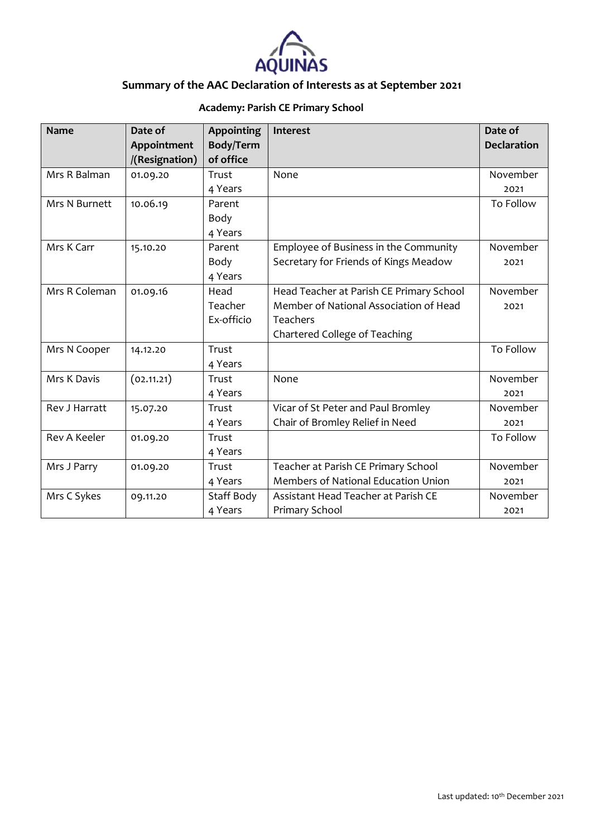

## **Academy: Parish CE Primary School**

| <b>Name</b>   | Date of        | <b>Appointing</b> | Interest                                 | Date of            |
|---------------|----------------|-------------------|------------------------------------------|--------------------|
|               | Appointment    | Body/Term         |                                          | <b>Declaration</b> |
|               | /(Resignation) | of office         |                                          |                    |
| Mrs R Balman  | 01.09.20       | Trust             | None                                     | November           |
|               |                | 4 Years           |                                          | 2021               |
| Mrs N Burnett | 10.06.19       | Parent            |                                          | To Follow          |
|               |                | Body              |                                          |                    |
|               |                | 4 Years           |                                          |                    |
| Mrs K Carr    | 15.10.20       | Parent            | Employee of Business in the Community    | November           |
|               |                | Body              | Secretary for Friends of Kings Meadow    | 2021               |
|               |                | 4 Years           |                                          |                    |
| Mrs R Coleman | 01.09.16       | Head              | Head Teacher at Parish CE Primary School | November           |
|               |                | Teacher           | Member of National Association of Head   | 2021               |
|               |                | Ex-officio        | <b>Teachers</b>                          |                    |
|               |                |                   | Chartered College of Teaching            |                    |
| Mrs N Cooper  | 14.12.20       | Trust             |                                          | To Follow          |
|               |                | 4 Years           |                                          |                    |
| Mrs K Davis   | (02.11.21)     | Trust             | None                                     | November           |
|               |                | 4 Years           |                                          | 2021               |
| Rev J Harratt | 15.07.20       | Trust             | Vicar of St Peter and Paul Bromley       | November           |
|               |                | 4 Years           | Chair of Bromley Relief in Need          | 2021               |
| Rev A Keeler  | 01.09.20       | Trust             |                                          | To Follow          |
|               |                | 4 Years           |                                          |                    |
| Mrs J Parry   | 01.09.20       | Trust             | Teacher at Parish CE Primary School      | November           |
|               |                | 4 Years           | Members of National Education Union      | 2021               |
| Mrs C Sykes   | 09.11.20       | Staff Body        | Assistant Head Teacher at Parish CE      | November           |
|               |                | 4 Years           | Primary School                           | 2021               |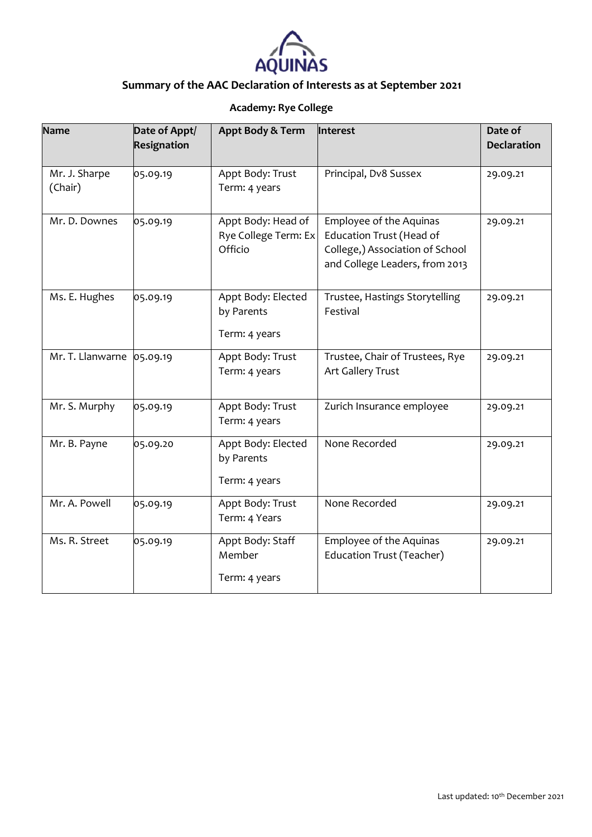

## **Academy: Rye College**

| <b>Name</b>              | Date of Appt/ | Appt Body & Term                                      | Interest                                                                                                                 | Date of            |
|--------------------------|---------------|-------------------------------------------------------|--------------------------------------------------------------------------------------------------------------------------|--------------------|
|                          | Resignation   |                                                       |                                                                                                                          | <b>Declaration</b> |
| Mr. J. Sharpe<br>(Chair) | 05.09.19      | Appt Body: Trust<br>Term: 4 years                     | Principal, Dv8 Sussex                                                                                                    | 29.09.21           |
| Mr. D. Downes            | 05.09.19      | Appt Body: Head of<br>Rye College Term: Ex<br>Officio | Employee of the Aquinas<br>Education Trust (Head of<br>College,) Association of School<br>and College Leaders, from 2013 | 29.09.21           |
| Ms. E. Hughes            | 05.09.19      | Appt Body: Elected<br>by Parents<br>Term: 4 years     | Trustee, Hastings Storytelling<br>Festival                                                                               | 29.09.21           |
| Mr. T. Llanwarne         | 05.09.19      | Appt Body: Trust<br>Term: 4 years                     | Trustee, Chair of Trustees, Rye<br>Art Gallery Trust                                                                     | 29.09.21           |
| Mr. S. Murphy            | 05.09.19      | Appt Body: Trust<br>Term: 4 years                     | Zurich Insurance employee                                                                                                | 29.09.21           |
| Mr. B. Payne             | 05.09.20      | Appt Body: Elected<br>by Parents<br>Term: 4 years     | None Recorded                                                                                                            | 29.09.21           |
| Mr. A. Powell            | 05.09.19      | Appt Body: Trust<br>Term: 4 Years                     | None Recorded                                                                                                            | 29.09.21           |
| Ms. R. Street            | 05.09.19      | Appt Body: Staff<br>Member<br>Term: 4 years           | <b>Employee of the Aquinas</b><br><b>Education Trust (Teacher)</b>                                                       | 29.09.21           |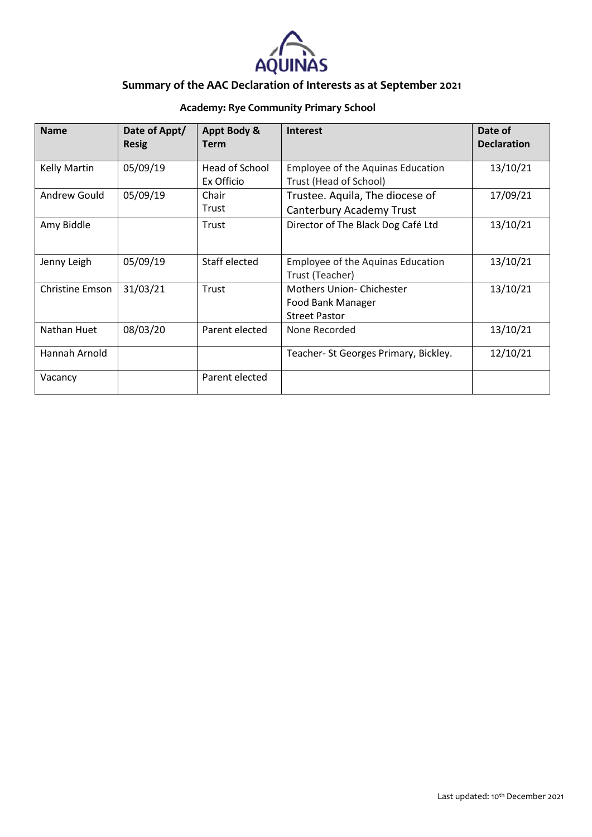

## **Academy: Rye Community Primary School**

| <b>Name</b>         | Date of Appt/<br><b>Resig</b> | Appt Body &<br><b>Term</b>   | <b>Interest</b>                                                              | Date of<br><b>Declaration</b> |
|---------------------|-------------------------------|------------------------------|------------------------------------------------------------------------------|-------------------------------|
| <b>Kelly Martin</b> | 05/09/19                      | Head of School<br>Ex Officio | <b>Employee of the Aquinas Education</b><br>Trust (Head of School)           | 13/10/21                      |
| Andrew Gould        | 05/09/19                      | Chair<br>Trust               | Trustee. Aquila, The diocese of<br>Canterbury Academy Trust                  | 17/09/21                      |
| Amy Biddle          |                               | Trust                        | Director of The Black Dog Café Ltd                                           | 13/10/21                      |
| Jenny Leigh         | 05/09/19                      | Staff elected                | <b>Employee of the Aquinas Education</b><br>Trust (Teacher)                  | 13/10/21                      |
| Christine Emson     | 31/03/21                      | Trust                        | <b>Mothers Union-Chichester</b><br>Food Bank Manager<br><b>Street Pastor</b> | 13/10/21                      |
| Nathan Huet         | 08/03/20                      | Parent elected               | None Recorded                                                                | 13/10/21                      |
| Hannah Arnold       |                               |                              | Teacher-St Georges Primary, Bickley.                                         | 12/10/21                      |
| Vacancy             |                               | Parent elected               |                                                                              |                               |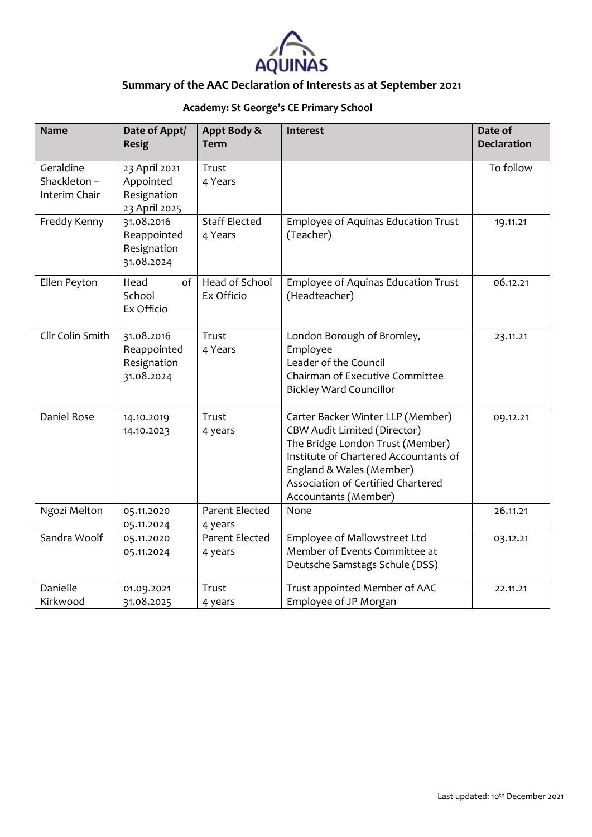

## **Academy: St George's CE Primary School**

| <b>Name</b>                               | Date of Appt/<br><b>Resig</b>                              | Appt Body &<br><b>Term</b>      | Interest                                                                                                                                                                                                                                        | Date of<br><b>Declaration</b> |
|-------------------------------------------|------------------------------------------------------------|---------------------------------|-------------------------------------------------------------------------------------------------------------------------------------------------------------------------------------------------------------------------------------------------|-------------------------------|
| Geraldine<br>Shackleton-<br>Interim Chair | 23 April 2021<br>Appointed<br>Resignation<br>23 April 2025 | Trust<br>4 Years                |                                                                                                                                                                                                                                                 | To follow                     |
| Freddy Kenny                              | 31.08.2016<br>Reappointed<br>Resignation<br>31.08.2024     | <b>Staff Elected</b><br>4 Years | Employee of Aquinas Education Trust<br>(Teacher)                                                                                                                                                                                                | 19.11.21                      |
| Ellen Peyton                              | Head<br>of<br>School<br>Ex Officio                         | Head of School<br>Ex Officio    | Employee of Aquinas Education Trust<br>(Headteacher)                                                                                                                                                                                            | 06.12.21                      |
| Cllr Colin Smith                          | 31.08.2016<br>Reappointed<br>Resignation<br>31.08.2024     | Trust<br>4 Years                | London Borough of Bromley,<br>Employee<br>Leader of the Council<br>Chairman of Executive Committee<br><b>Bickley Ward Councillor</b>                                                                                                            | 23.11.21                      |
| Daniel Rose                               | 14.10.2019<br>14.10.2023                                   | Trust<br>4 years                | Carter Backer Winter LLP (Member)<br><b>CBW Audit Limited (Director)</b><br>The Bridge London Trust (Member)<br>Institute of Chartered Accountants of<br>England & Wales (Member)<br>Association of Certified Chartered<br>Accountants (Member) | 09.12.21                      |
| Ngozi Melton                              | 05.11.2020<br>05.11.2024                                   | Parent Elected<br>4 years       | None                                                                                                                                                                                                                                            | 26.11.21                      |
| Sandra Woolf                              | 05.11.2020<br>05.11.2024                                   | Parent Elected<br>4 years       | Employee of Mallowstreet Ltd<br>Member of Events Committee at<br>Deutsche Samstags Schule (DSS)                                                                                                                                                 | 03.12.21                      |
| Danielle<br>Kirkwood                      | 01.09.2021<br>31.08.2025                                   | Trust<br>4 years                | Trust appointed Member of AAC<br>Employee of JP Morgan                                                                                                                                                                                          | 22.11.21                      |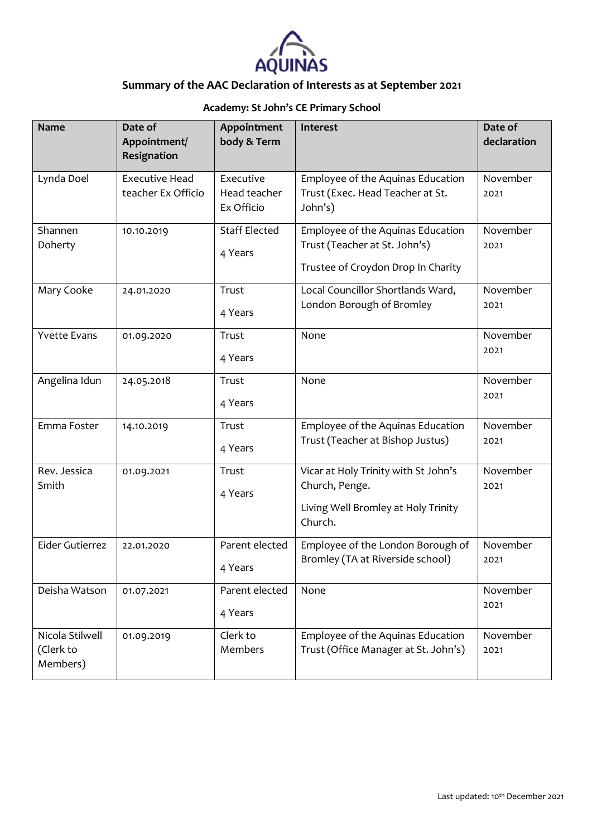

#### **Academy: St John's CE Primary School**

| <b>Name</b>                              | Date of<br>Appointment/<br>Resignation      | Appointment<br>body & Term              | Interest                                                                                                 | Date of<br>declaration |
|------------------------------------------|---------------------------------------------|-----------------------------------------|----------------------------------------------------------------------------------------------------------|------------------------|
| Lynda Doel                               | <b>Executive Head</b><br>teacher Ex Officio | Executive<br>Head teacher<br>Ex Officio | Employee of the Aquinas Education<br>Trust (Exec. Head Teacher at St.<br>John's)                         | November<br>2021       |
| Shannen<br>Doherty                       | 10.10.2019                                  | <b>Staff Elected</b><br>4 Years         | Employee of the Aquinas Education<br>Trust (Teacher at St. John's)<br>Trustee of Croydon Drop In Charity | November<br>2021       |
| Mary Cooke                               | 24.01.2020                                  | Trust<br>4 Years                        | Local Councillor Shortlands Ward,<br>London Borough of Bromley                                           | November<br>2021       |
| <b>Yvette Evans</b>                      | 01.09.2020                                  | Trust<br>4 Years                        | None                                                                                                     | November<br>2021       |
| Angelina Idun                            | 24.05.2018                                  | Trust<br>4 Years                        | None                                                                                                     | November<br>2021       |
| Emma Foster                              | 14.10.2019                                  | Trust<br>4 Years                        | Employee of the Aquinas Education<br>Trust (Teacher at Bishop Justus)                                    | November<br>2021       |
| Rev. Jessica<br>Smith                    | 01.09.2021                                  | Trust<br>4 Years                        | Vicar at Holy Trinity with St John's<br>Church, Penge.<br>Living Well Bromley at Holy Trinity<br>Church. | November<br>2021       |
| Eider Gutierrez                          | 22.01.2020                                  | Parent elected<br>4 Years               | Employee of the London Borough of<br>Bromley (TA at Riverside school)                                    | November<br>2021       |
| Deisha Watson                            | 01.07.2021                                  | Parent elected<br>4 Years               | None                                                                                                     | November<br>2021       |
| Nicola Stilwell<br>(Clerk to<br>Members) | 01.09.2019                                  | Clerk to<br>Members                     | Employee of the Aquinas Education<br>Trust (Office Manager at St. John's)                                | November<br>2021       |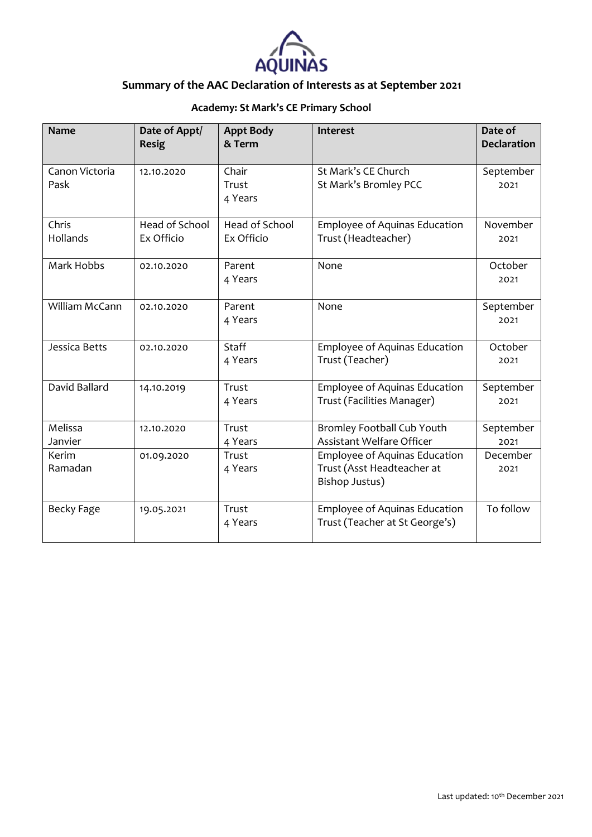

## **Academy: St Mark's CE Primary School**

| <b>Name</b>            | Date of Appt/<br><b>Resig</b> | <b>Appt Body</b><br>& Term   | Interest                                                                      | Date of<br><b>Declaration</b> |
|------------------------|-------------------------------|------------------------------|-------------------------------------------------------------------------------|-------------------------------|
| Canon Victoria<br>Pask | 12.10.2020                    | Chair<br>Trust<br>4 Years    | St Mark's CE Church<br>St Mark's Bromley PCC                                  | September<br>2021             |
| Chris<br>Hollands      | Head of School<br>Ex Officio  | Head of School<br>Ex Officio | <b>Employee of Aquinas Education</b><br>Trust (Headteacher)                   | November<br>2021              |
| Mark Hobbs             | 02.10.2020                    | Parent<br>4 Years            | None                                                                          | October<br>2021               |
| William McCann         | 02.10.2020                    | Parent<br>4 Years            | None                                                                          | September<br>2021             |
| Jessica Betts          | 02.10.2020                    | Staff<br>4 Years             | Employee of Aquinas Education<br>Trust (Teacher)                              | October<br>2021               |
| David Ballard          | 14.10.2019                    | Trust<br>4 Years             | Employee of Aquinas Education<br>Trust (Facilities Manager)                   | September<br>2021             |
| Melissa<br>Janvier     | 12.10.2020                    | Trust<br>4 Years             | Bromley Football Cub Youth<br>Assistant Welfare Officer                       | September<br>2021             |
| Kerim<br>Ramadan       | 01.09.2020                    | Trust<br>4 Years             | Employee of Aquinas Education<br>Trust (Asst Headteacher at<br>Bishop Justus) | December<br>2021              |
| Becky Fage             | 19.05.2021                    | Trust<br>4 Years             | <b>Employee of Aquinas Education</b><br>Trust (Teacher at St George's)        | To follow                     |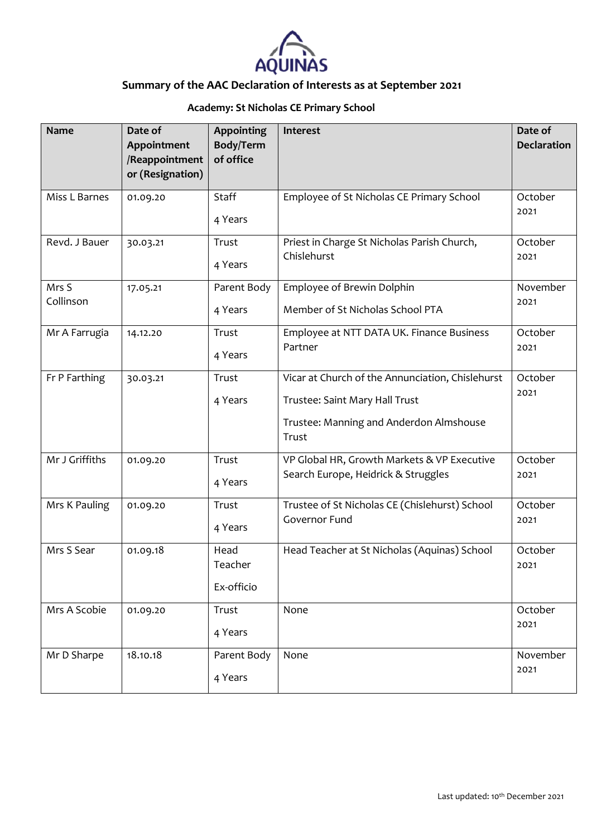

## **Academy: St Nicholas CE Primary School**

| <b>Name</b>    | Date of<br>Appointment<br>/Reappointment<br>or (Resignation) | <b>Appointing</b><br>Body/Term<br>of office | Interest                                                   | Date of<br><b>Declaration</b> |
|----------------|--------------------------------------------------------------|---------------------------------------------|------------------------------------------------------------|-------------------------------|
| Miss L Barnes  | 01.09.20                                                     | Staff<br>4 Years                            | Employee of St Nicholas CE Primary School                  | October<br>2021               |
| Revd. J Bauer  | 30.03.21                                                     | Trust<br>4 Years                            | Priest in Charge St Nicholas Parish Church,<br>Chislehurst | October<br>2021               |
| Mrs S          | 17.05.21                                                     | Parent Body                                 | Employee of Brewin Dolphin                                 | November                      |
| Collinson      |                                                              | 4 Years                                     | Member of St Nicholas School PTA                           | 2021                          |
| Mr A Farrugia  | 14.12.20                                                     | Trust                                       | Employee at NTT DATA UK. Finance Business                  | October                       |
|                |                                                              | 4 Years                                     | Partner                                                    | 2021                          |
| Fr P Farthing  | 30.03.21                                                     | Trust                                       | Vicar at Church of the Annunciation, Chislehurst           | October                       |
|                |                                                              | 4 Years                                     | Trustee: Saint Mary Hall Trust                             | 2021                          |
|                |                                                              |                                             | Trustee: Manning and Anderdon Almshouse<br>Trust           |                               |
| Mr J Griffiths | 01.09.20                                                     | Trust                                       | VP Global HR, Growth Markets & VP Executive                | October                       |
|                |                                                              | 4 Years                                     | Search Europe, Heidrick & Struggles                        | 2021                          |
| Mrs K Pauling  | 01.09.20                                                     | Trust                                       | Trustee of St Nicholas CE (Chislehurst) School             | October                       |
|                |                                                              | 4 Years                                     | Governor Fund                                              | 2021                          |
| Mrs S Sear     | 01.09.18                                                     | Head<br>Teacher                             | Head Teacher at St Nicholas (Aquinas) School               | October<br>2021               |
|                |                                                              | Ex-officio                                  |                                                            |                               |
| Mrs A Scobie   | 01.09.20                                                     | Trust                                       | None                                                       | October                       |
|                |                                                              | 4 Years                                     |                                                            | 2021                          |
| Mr D Sharpe    | 18.10.18                                                     | Parent Body                                 | None                                                       | November                      |
|                |                                                              | 4 Years                                     |                                                            | 2021                          |